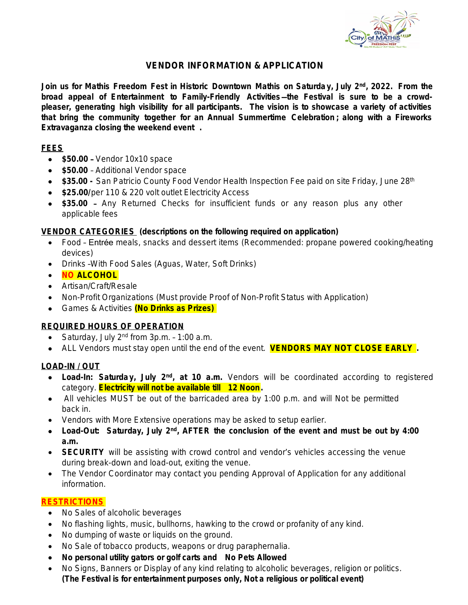

# **VENDOR INFORMATION & APPLICATION**

Join us for Mathis Freedom Fest in Historic Downtown Mathis on Saturday, July 2<sup>nd</sup>, 2022. From the **broad appeal of Entertainment to Family-Friendly Activities** —**the Festival is sure to be a crowdpleaser, generating high visibility for all participants.** *The vision is to showcase a variety of activities that bring the community together for an Annual Summertime Celebration ; along with a Fireworks Extravaganza closing the weekend event .*

## **FEES**

- **\$50.00**  Vendor 10x10 space
- **\$50.00 Additional Vendor space**
- **\$35.00 San Patricio County Food Vendor Health Inspection Fee paid on site Friday, June 28th**
- **\$25.00/per 110 & 220 volt outlet Electricity Access**
- **\$35.00** Any Returned Checks for insufficient funds or any reason plus any other applicable fees

## **VENDOR CATEGORIES (descriptions on the following required on application)**

- Food Entrée meals, snacks and dessert items (Recommended: propane powered cooking/heating devices)
- Drinks With Food Sales (Aguas, Water, Soft Drinks)
- **NO ALCOHOL**
- Artisan/Craft/Resale
- Non-Profit Organizations (Must provide Proof of Non-Profit Status with Application)
- Games & Activities **(No Drinks as Prizes)**

## **REQUIRED HOURS OF OPERATION**

- Saturday, July  $2^{nd}$  from  $3p.m. 1:00$  a.m.
- ALL Vendors must stay open until the end of the event. **VENDORS MAY NOT CLOSE EARLY .**

## **LOAD-IN / OUT**

- **Load-In: Saturday, July 2<sup>nd</sup>, at 10 a.m.** Vendors will be coordinated according to registered category. **Electricity will not be available till 12 Noon.**
- All vehicles MUST be out of the barricaded area by 1:00 p.m. and will Not be permitted back in.
- Vendors with More Extensive operations may be asked to setup earlier.
- **Load-Out: Saturday, July 2 nd , AFTER the conclusion of the event and must be out by 4:00 a.m.**
- **SECURITY** will be assisting with crowd control and vendor's vehicles accessing the venue during break-down and load-out, exiting the venue.
- The Vendor Coordinator may contact you pending Approval of Application for any additional information.

## **RESTRICTIONS**

- No Sales of alcoholic beverages
- No flashing lights, music, bullhorns, hawking to the crowd or profanity of any kind.
- No dumping of waste or liquids on the ground.
- No Sale of tobacco products, weapons or drug paraphernalia.
- **No personal utility gators or golf carts and No Pets Allowed**
- No Signs, Banners or Display of any kind relating to alcoholic beverages, religion or politics. **(The Festival is for entertainment purposes only, Not a religious or political event)**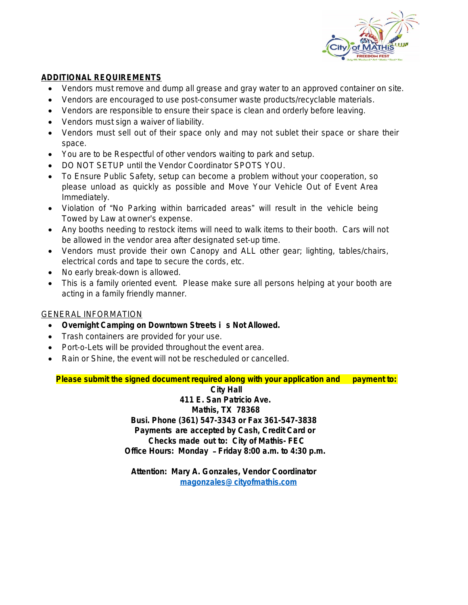

# **ADDITIONAL REQUIREMENTS**

- Vendors must remove and dump all grease and gray water to an approved container on site.
- Vendors are encouraged to use post-consumer waste products/recyclable materials.
- Vendors are responsible to ensure their space is clean and orderly before leaving.
- Vendors must sign a waiver of liability.
- Vendors must sell out of their space only and may not sublet their space or share their space.
- You are to be Respectful of other vendors waiting to park and setup.
- DO NOT SETUP until the Vendor Coordinator SPOTS YOU.
- To Ensure Public Safety, setup can become a problem without your cooperation, so please unload as quickly as possible and Move Your Vehicle Out of Event Area Immediately.
- Violation of "No Parking within barricaded areas" will result in the vehicle being Towed by Law at owner's expense.
- Any booths needing to restock items will need to walk items to their booth. Cars will not be allowed in the vendor area after designated set-up time.
- Vendors must provide their own Canopy and ALL other gear; lighting, tables/chairs, electrical cords and tape to secure the cords, etc.
- No early break-down is allowed.
- This is a family oriented event. Please make sure all persons helping at your booth are acting in a family friendly manner.

## GENERAL INFORMATION

- **Overnight Camping on Downtown Streets i s Not Allowed.**
- Trash containers are provided for your use.
- Port-o-Lets will be provided throughout the event area.
- Rain or Shine, the event will not be rescheduled or cancelled.

**Please submit the signed document required along with your application and payment to:** 

**City Hall**

**411 E. San Patricio Ave. Mathis, TX 78368 Busi. Phone (361) 547-3343 or Fax 361-547-3838 Payments are accepted by Cash, Credit Card or Checks made out to: City of Mathis- FEC Office Hours: Monday** – **Friday 8:00 a.m. to 4:30 p.m.**

**Attention: Mary A. Gonzales, Vendor Coordinator [magonzales@cityofmathis.com](mailto:magonzales@cityofmathis.com)**